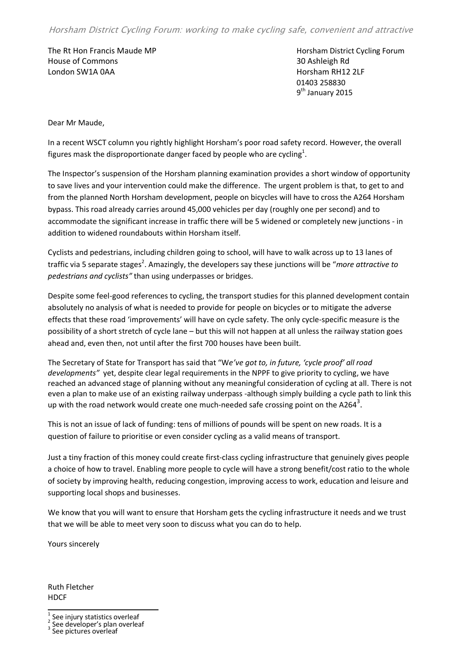The Rt Hon Francis Maude MP **Horsham District Cycling Forum** House of Commons 30 Ashleigh Rd London SW1A 0AA **Horsham RH12 2LF** 

01403 258830 9<sup>th</sup> January 2015

Dear Mr Maude,

In a recent WSCT column you rightly highlight Horsham's poor road safety record. However, the overall figures mask the disproportionate danger faced by people who are cycling $^1$ .

The Inspector's suspension of the Horsham planning examination provides a short window of opportunity to save lives and your intervention could make the difference. The urgent problem is that, to get to and from the planned North Horsham development, people on bicycles will have to cross the A264 Horsham bypass. This road already carries around 45,000 vehicles per day (roughly one per second) and to accommodate the significant increase in traffic there will be 5 widened or completely new junctions - in addition to widened roundabouts within Horsham itself.

Cyclists and pedestrians, including children going to school, will have to walk across up to 13 lanes of traffic via 5 separate stages<sup>2</sup>. Amazingly, the developers say these junctions will be "*more attractive to pedestrians and cyclists"* than using underpasses or bridges.

Despite some feel-good references to cycling, the transport studies for this planned development contain absolutely no analysis of what is needed to provide for people on bicycles or to mitigate the adverse effects that these road 'improvements' will have on cycle safety. The only cycle-specific measure is the possibility of a short stretch of cycle lane – but this will not happen at all unless the railway station goes ahead and, even then, not until after the first 700 houses have been built.

The Secretary of State for Transport has said that "W*e've got to, in future, 'cycle proof' all road developments"* yet, despite clear legal requirements in the NPPF to give priority to cycling, we have reached an advanced stage of planning without any meaningful consideration of cycling at all. There is not even a plan to make use of an existing railway underpass -although simply building a cycle path to link this up with the road network would create one much-needed safe crossing point on the A264<sup>3</sup>.

This is not an issue of lack of funding: tens of millions of pounds will be spent on new roads. It is a question of failure to prioritise or even consider cycling as a valid means of transport.

Just a tiny fraction of this money could create first-class cycling infrastructure that genuinely gives people a choice of how to travel. Enabling more people to cycle will have a strong benefit/cost ratio to the whole of society by improving health, reducing congestion, improving access to work, education and leisure and supporting local shops and businesses.

We know that you will want to ensure that Horsham gets the cycling infrastructure it needs and we trust that we will be able to meet very soon to discuss what you can do to help.

Yours sincerely

Ruth Fletcher **HDCF** 

 $\overline{a}$ 1 See injury statistics overleaf

See developer's plan overleaf 3

See pictures overleaf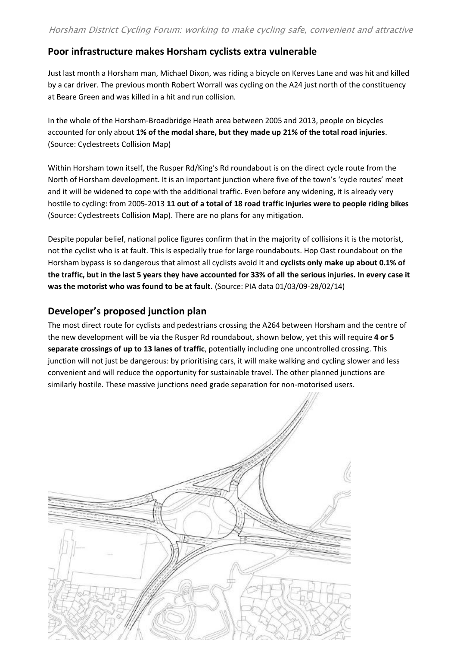## **Poor infrastructure makes Horsham cyclists extra vulnerable**

Just last month a Horsham man, Michael Dixon, was riding a bicycle on Kerves Lane and was hit and killed by a car driver. The previous month Robert Worrall was cycling on the A24 just north of the constituency at Beare Green and was killed in a hit and run collision.

In the whole of the Horsham-Broadbridge Heath area between 2005 and 2013, people on bicycles accounted for only about **1% of the modal share, but they made up 21% of the total road injuries**. (Source: Cyclestreets Collision Map)

Within Horsham town itself, the Rusper Rd/King's Rd roundabout is on the direct cycle route from the North of Horsham development. It is an important junction where five of the town's 'cycle routes' meet and it will be widened to cope with the additional traffic. Even before any widening, it is already very hostile to cycling: from 2005-2013 **11 out of a total of 18 road traffic injuries were to people riding bikes** (Source: Cyclestreets Collision Map). There are no plans for any mitigation.

Despite popular belief, national police figures confirm that in the majority of collisions it is the motorist, not the cyclist who is at fault. This is especially true for large roundabouts. Hop Oast roundabout on the Horsham bypass is so dangerous that almost all cyclists avoid it and **cyclists only make up about 0.1% of the traffic, but in the last 5 years they have accounted for 33% of all the serious injuries. In every case it was the motorist who was found to be at fault.** (Source: PIA data 01/03/09-28/02/14)

## **Developer's proposed junction plan**

The most direct route for cyclists and pedestrians crossing the A264 between Horsham and the centre of the new development will be via the Rusper Rd roundabout, shown below, yet this will require **4 or 5 separate crossings of up to 13 lanes of traffic**, potentially including one uncontrolled crossing. This junction will not just be dangerous: by prioritising cars, it will make walking and cycling slower and less convenient and will reduce the opportunity for sustainable travel. The other planned junctions are similarly hostile. These massive junctions need grade separation for non-motorised users.